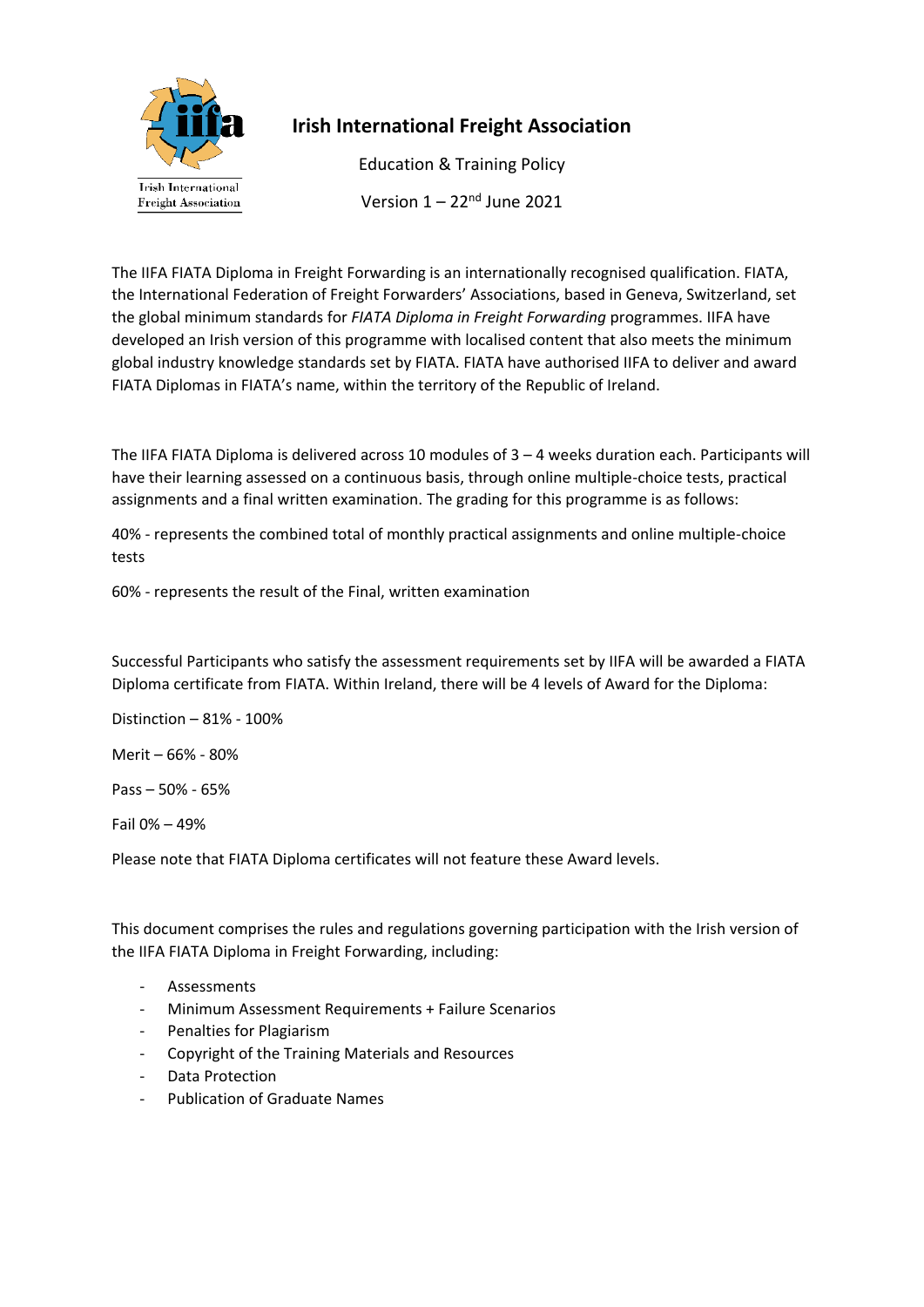

# **Irish International Freight Association**

Education & Training Policy Version  $1 - 22<sup>nd</sup>$  June 2021

The IIFA FIATA Diploma in Freight Forwarding is an internationally recognised qualification. FIATA, the International Federation of Freight Forwarders' Associations, based in Geneva, Switzerland, set the global minimum standards for *FIATA Diploma in Freight Forwarding* programmes. IIFA have developed an Irish version of this programme with localised content that also meets the minimum global industry knowledge standards set by FIATA. FIATA have authorised IIFA to deliver and award FIATA Diplomas in FIATA's name, within the territory of the Republic of Ireland.

The IIFA FIATA Diploma is delivered across 10 modules of 3 – 4 weeks duration each. Participants will have their learning assessed on a continuous basis, through online multiple-choice tests, practical assignments and a final written examination. The grading for this programme is as follows:

40% - represents the combined total of monthly practical assignments and online multiple-choice tests

60% - represents the result of the Final, written examination

Successful Participants who satisfy the assessment requirements set by IIFA will be awarded a FIATA Diploma certificate from FIATA. Within Ireland, there will be 4 levels of Award for the Diploma:

Distinction – 81% - 100%

Merit – 66% - 80%

Pass – 50% - 65%

Fail 0% – 49%

Please note that FIATA Diploma certificates will not feature these Award levels.

This document comprises the rules and regulations governing participation with the Irish version of the IIFA FIATA Diploma in Freight Forwarding, including:

- **Assessments**
- Minimum Assessment Requirements + Failure Scenarios
- Penalties for Plagiarism
- Copyright of the Training Materials and Resources
- Data Protection
- Publication of Graduate Names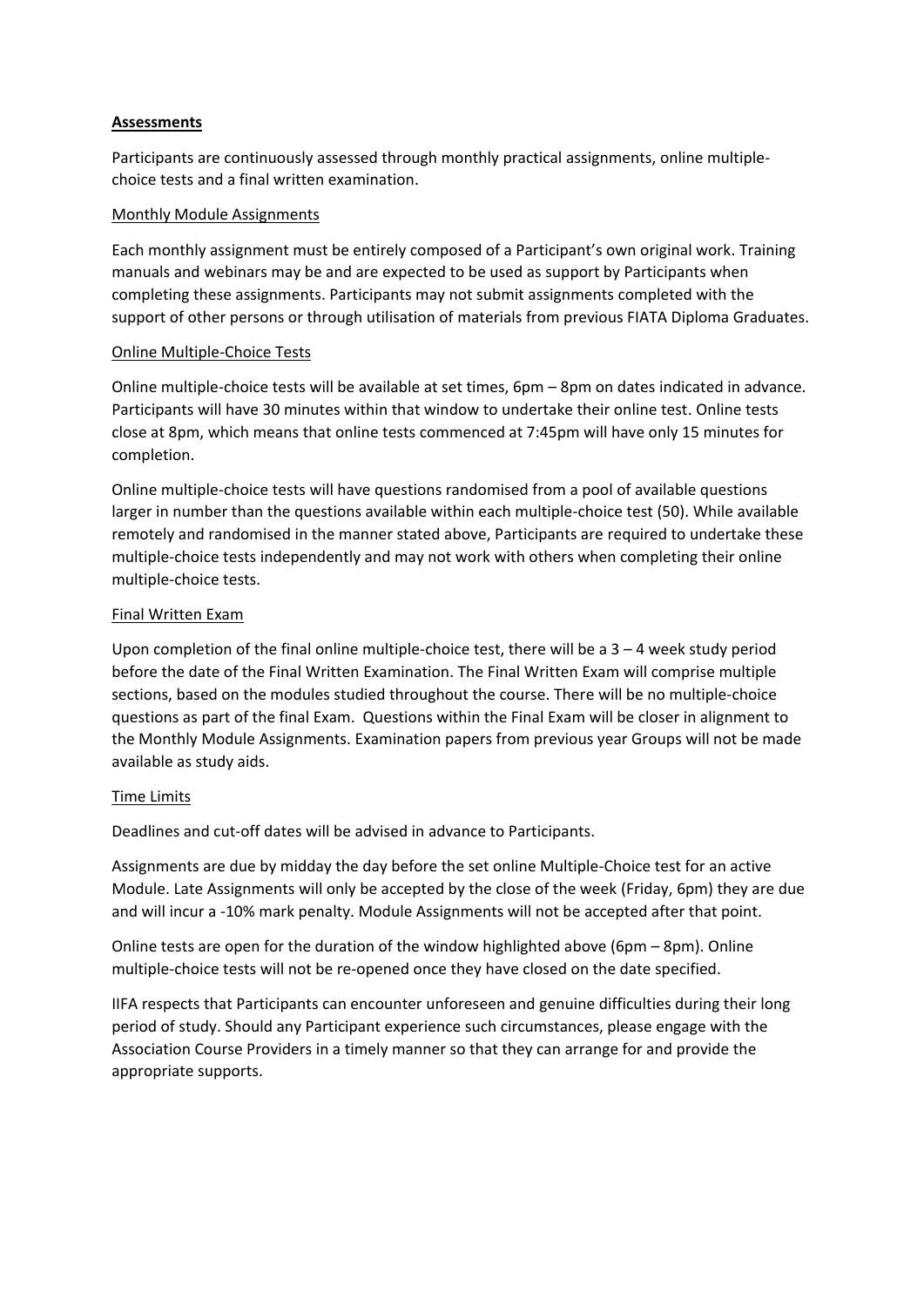# **Assessments**

Participants are continuously assessed through monthly practical assignments, online multiplechoice tests and a final written examination.

## Monthly Module Assignments

Each monthly assignment must be entirely composed of a Participant's own original work. Training manuals and webinars may be and are expected to be used as support by Participants when completing these assignments. Participants may not submit assignments completed with the support of other persons or through utilisation of materials from previous FIATA Diploma Graduates.

# Online Multiple-Choice Tests

Online multiple-choice tests will be available at set times, 6pm – 8pm on dates indicated in advance. Participants will have 30 minutes within that window to undertake their online test. Online tests close at 8pm, which means that online tests commenced at 7:45pm will have only 15 minutes for completion.

Online multiple-choice tests will have questions randomised from a pool of available questions larger in number than the questions available within each multiple-choice test (50). While available remotely and randomised in the manner stated above, Participants are required to undertake these multiple-choice tests independently and may not work with others when completing their online multiple-choice tests.

# Final Written Exam

Upon completion of the final online multiple-choice test, there will be a  $3 - 4$  week study period before the date of the Final Written Examination. The Final Written Exam will comprise multiple sections, based on the modules studied throughout the course. There will be no multiple-choice questions as part of the final Exam. Questions within the Final Exam will be closer in alignment to the Monthly Module Assignments. Examination papers from previous year Groups will not be made available as study aids.

### Time Limits

Deadlines and cut-off dates will be advised in advance to Participants.

Assignments are due by midday the day before the set online Multiple-Choice test for an active Module. Late Assignments will only be accepted by the close of the week (Friday, 6pm) they are due and will incur a -10% mark penalty. Module Assignments will not be accepted after that point.

Online tests are open for the duration of the window highlighted above (6pm – 8pm). Online multiple-choice tests will not be re-opened once they have closed on the date specified.

IIFA respects that Participants can encounter unforeseen and genuine difficulties during their long period of study. Should any Participant experience such circumstances, please engage with the Association Course Providers in a timely manner so that they can arrange for and provide the appropriate supports.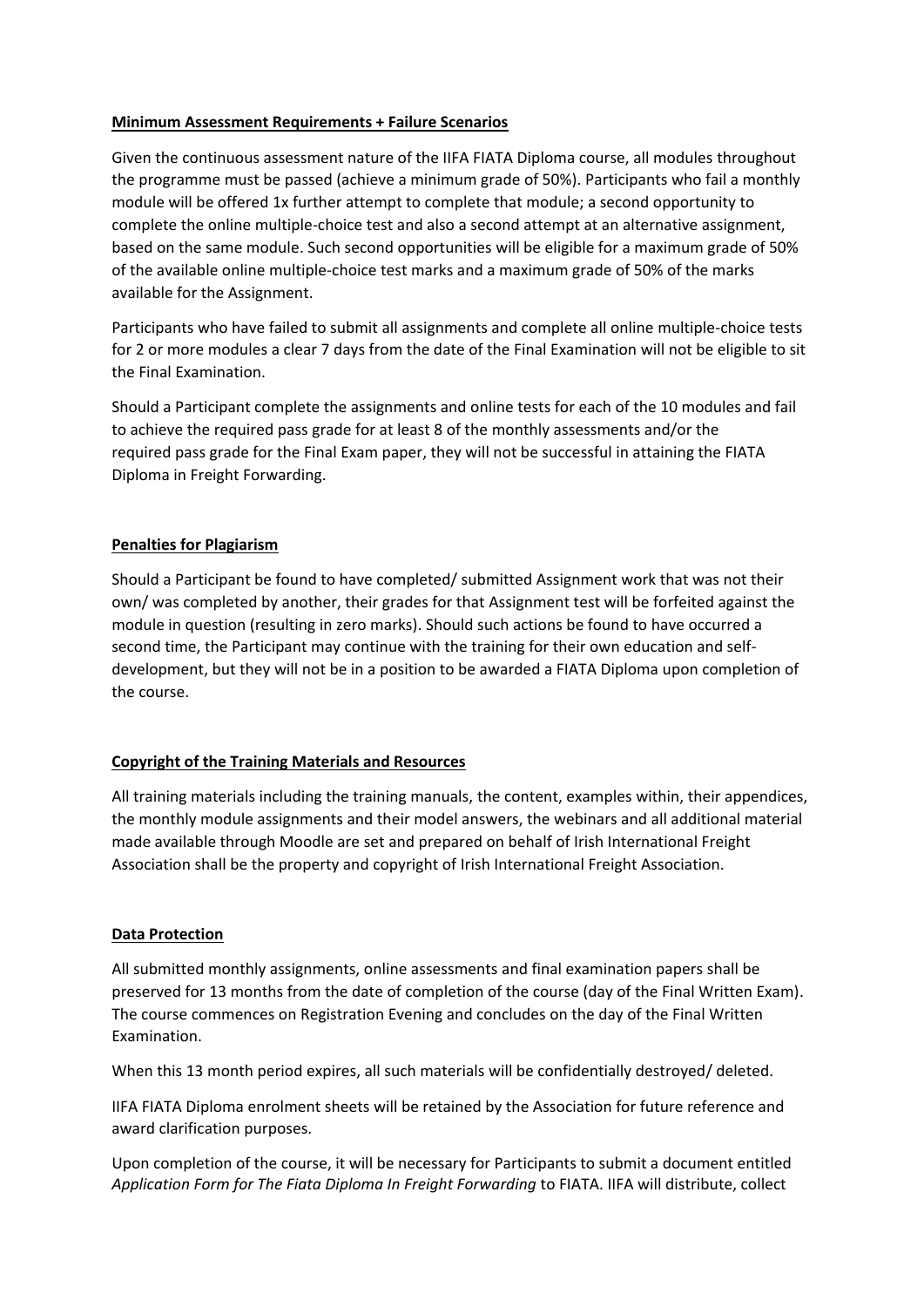## **Minimum Assessment Requirements + Failure Scenarios**

Given the continuous assessment nature of the IIFA FIATA Diploma course, all modules throughout the programme must be passed (achieve a minimum grade of 50%). Participants who fail a monthly module will be offered 1x further attempt to complete that module; a second opportunity to complete the online multiple-choice test and also a second attempt at an alternative assignment, based on the same module. Such second opportunities will be eligible for a maximum grade of 50% of the available online multiple-choice test marks and a maximum grade of 50% of the marks available for the Assignment.

Participants who have failed to submit all assignments and complete all online multiple-choice tests for 2 or more modules a clear 7 days from the date of the Final Examination will not be eligible to sit the Final Examination.

Should a Participant complete the assignments and online tests for each of the 10 modules and fail to achieve the required pass grade for at least 8 of the monthly assessments and/or the required pass grade for the Final Exam paper, they will not be successful in attaining the FIATA Diploma in Freight Forwarding.

# **Penalties for Plagiarism**

Should a Participant be found to have completed/ submitted Assignment work that was not their own/ was completed by another, their grades for that Assignment test will be forfeited against the module in question (resulting in zero marks). Should such actions be found to have occurred a second time, the Participant may continue with the training for their own education and selfdevelopment, but they will not be in a position to be awarded a FIATA Diploma upon completion of the course.

# **Copyright of the Training Materials and Resources**

All training materials including the training manuals, the content, examples within, their appendices, the monthly module assignments and their model answers, the webinars and all additional material made available through Moodle are set and prepared on behalf of Irish International Freight Association shall be the property and copyright of Irish International Freight Association.

# **Data Protection**

All submitted monthly assignments, online assessments and final examination papers shall be preserved for 13 months from the date of completion of the course (day of the Final Written Exam). The course commences on Registration Evening and concludes on the day of the Final Written Examination.

When this 13 month period expires, all such materials will be confidentially destroyed/ deleted.

IIFA FIATA Diploma enrolment sheets will be retained by the Association for future reference and award clarification purposes.

Upon completion of the course, it will be necessary for Participants to submit a document entitled *Application Form for The Fiata Diploma In Freight Forwarding* to FIATA. IIFA will distribute, collect